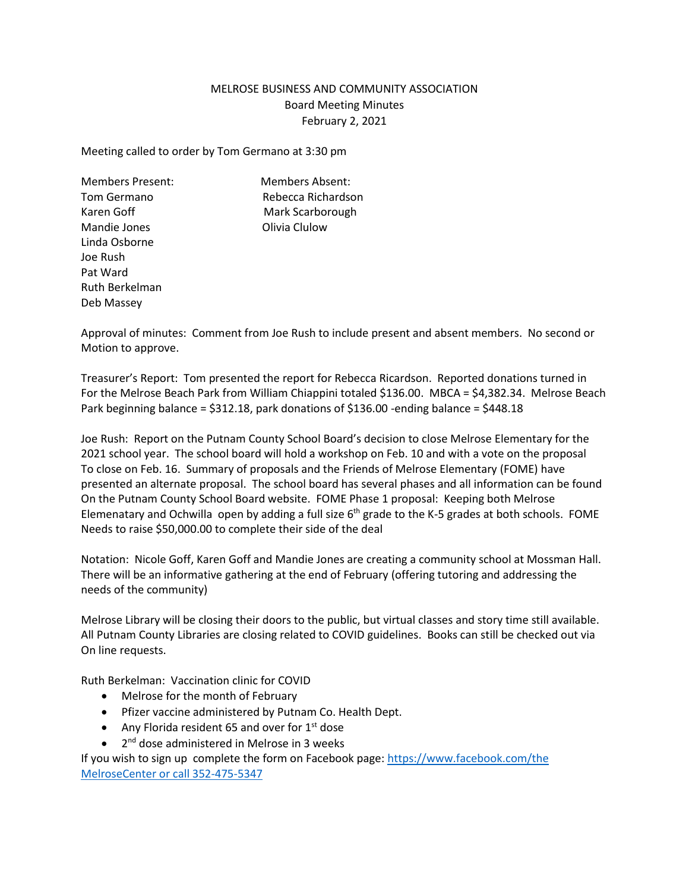## MELROSE BUSINESS AND COMMUNITY ASSOCIATION Board Meeting Minutes February 2, 2021

Meeting called to order by Tom Germano at 3:30 pm

Mandie Jones **Contract Club** Clubow Linda Osborne Joe Rush Pat Ward Ruth Berkelman Deb Massey

Members Present: Members Absent: Tom Germano **Rebecca Richardson** Karen Goff Mark Scarborough

Approval of minutes: Comment from Joe Rush to include present and absent members. No second or Motion to approve.

Treasurer's Report: Tom presented the report for Rebecca Ricardson. Reported donations turned in For the Melrose Beach Park from William Chiappini totaled \$136.00. MBCA = \$4,382.34. Melrose Beach Park beginning balance = \$312.18, park donations of \$136.00 -ending balance = \$448.18

Joe Rush: Report on the Putnam County School Board's decision to close Melrose Elementary for the 2021 school year. The school board will hold a workshop on Feb. 10 and with a vote on the proposal To close on Feb. 16. Summary of proposals and the Friends of Melrose Elementary (FOME) have presented an alternate proposal. The school board has several phases and all information can be found On the Putnam County School Board website. FOME Phase 1 proposal: Keeping both Melrose Elemenatary and Ochwilla open by adding a full size  $6<sup>th</sup>$  grade to the K-5 grades at both schools. FOME Needs to raise \$50,000.00 to complete their side of the deal

Notation: Nicole Goff, Karen Goff and Mandie Jones are creating a community school at Mossman Hall. There will be an informative gathering at the end of February (offering tutoring and addressing the needs of the community)

Melrose Library will be closing their doors to the public, but virtual classes and story time still available. All Putnam County Libraries are closing related to COVID guidelines. Books can still be checked out via On line requests.

Ruth Berkelman: Vaccination clinic for COVID

- Melrose for the month of February
- Pfizer vaccine administered by Putnam Co. Health Dept.
- Any Florida resident 65 and over for  $1<sup>st</sup>$  dose
- 2<sup>nd</sup> dose administered in Melrose in 3 weeks

If you wish to sign up complete the form on Facebook page: [https://www.facebook.com/the](https://www.facebook.com/the%20MelroseCenter%20or%20call%20352-475-5347)  [MelroseCenter or call 352-475-5347](https://www.facebook.com/the%20MelroseCenter%20or%20call%20352-475-5347)